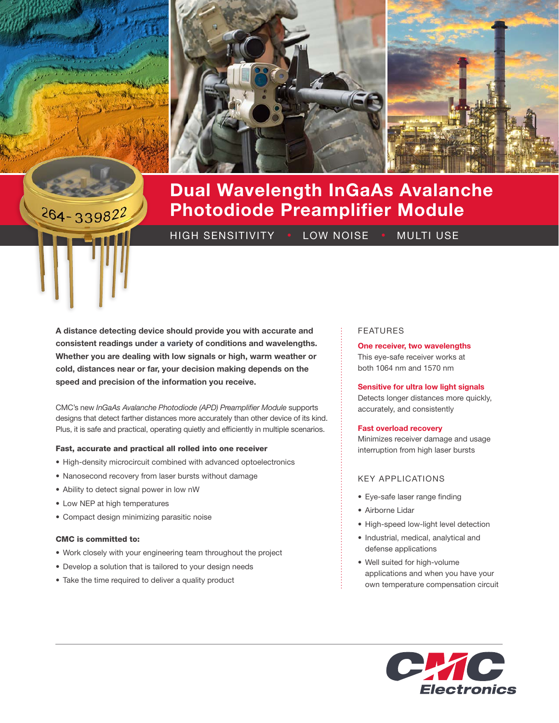

# $264 - 339822$

# Dual Wavelength InGaAs Avalanche Photodiode Preamplifier Module

HIGH SENSITIVITY • LOW NOISE • MULTI USE

A distance detecting device should provide you with accurate and consistent readings under a variety of conditions and wavelengths. Whether you are dealing with low signals or high, warm weather or cold, distances near or far, your decision making depends on the speed and precision of the information you receive.

CMC's new *InGaAs Avalanche Photodiode (APD) Preamplifier Module* supports designs that detect farther distances more accurately than other device of its kind. Plus, it is safe and practical, operating quietly and efficiently in multiple scenarios.

## Fast, accurate and practical all rolled into one receiver

- High-density microcircuit combined with advanced optoelectronics
- Nanosecond recovery from laser bursts without damage
- Ability to detect signal power in low nW
- Low NEP at high temperatures
- Compact design minimizing parasitic noise

# CMC is committed to:

- Work closely with your engineering team throughout the project
- Develop a solution that is tailored to your design needs
- Take the time required to deliver a quality product

## FEATURES

One receiver, two wavelengths This eye-safe receiver works at both 1064 nm and 1570 nm

#### Sensitive for ultra low light signals

Detects longer distances more quickly, accurately, and consistently

#### Fast overload recovery

Minimizes receiver damage and usage interruption from high laser bursts

## KEY APPLICATIONS

- Eye-safe laser range finding
- Airborne Lidar
- High-speed low-light level detection
- Industrial, medical, analytical and defense applications
- Well suited for high-volume applications and when you have your own temperature compensation circuit